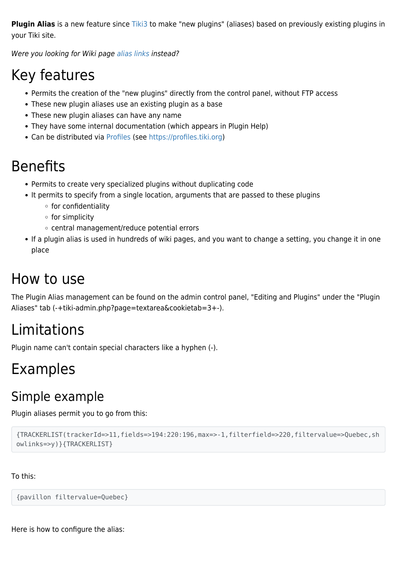**Plugin Alias** is a new feature since [Tiki3](https://doc.tiki.org/Tiki3) to make "new plugins" (aliases) based on previously existing plugins in your Tiki site.

Were you looking for Wiki page [alias links](https://doc.tiki.org/alias%20links) instead?

## Key features

- Permits the creation of the "new plugins" directly from the control panel, without FTP access
- These new plugin aliases use an existing plugin as a base
- These new plugin aliases can have any name
- They have some internal documentation (which appears in Plugin Help)
- Can be distributed via [Profiles](https://doc.tiki.org/Profiles) (see<https://profiles.tiki.org>)

## Benefits

- Permits to create very specialized plugins without duplicating code
- It permits to specify from a single location, arguments that are passed to these plugins
	- $\circ$  for confidentiality
	- $\circ$  for simplicity
	- central management/reduce potential errors
- If a plugin alias is used in hundreds of wiki pages, and you want to change a setting, you change it in one place

## How to use

The Plugin Alias management can be found on the admin control panel, "Editing and Plugins" under the "Plugin Aliases" tab (-+tiki-admin.php?page=textarea&cookietab=3+-).

# Limitations

Plugin name can't contain special characters like a hyphen (-).

# Examples

### Simple example

Plugin aliases permit you to go from this:

```
{TRACKERLIST(trackerId=>11,fields=>194:220:196,max=>-1,filterfield=>220,filtervalue=>Quebec,sh
owlinks=>y)}{TRACKERLIST}
```
To this:

{pavillon filtervalue=Quebec}

Here is how to configure the alias: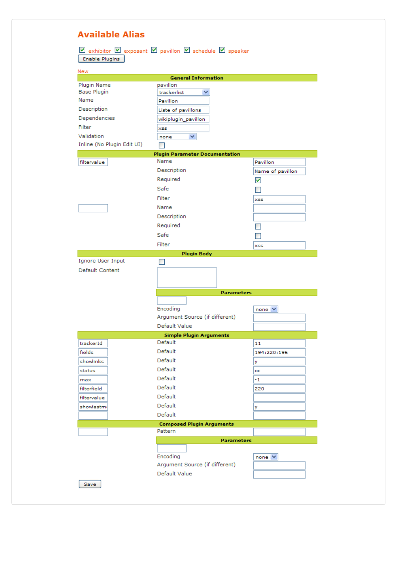| <b>Available Alias</b>                                                                                             |                                        |                  |
|--------------------------------------------------------------------------------------------------------------------|----------------------------------------|------------------|
| <b>v</b> exhibitor <b>v</b> exposant <b>v</b> pavillon <b>v</b> schedule <b>v</b> speaker<br><b>Enable Plugins</b> |                                        |                  |
| <b>New</b>                                                                                                         |                                        |                  |
| Plugin Name                                                                                                        | <b>General Information</b><br>pavillon |                  |
| Base Plugin                                                                                                        | trackerlist                            |                  |
| Name                                                                                                               | Pavillon                               |                  |
| Description                                                                                                        | Liste of pavillons                     |                  |
| Dependencies                                                                                                       | wikiplugin_pavillon                    |                  |
| Filter                                                                                                             | XSS                                    |                  |
| Validation                                                                                                         | ×.<br>none                             |                  |
| Inline (No Plugin Edit UI)                                                                                         |                                        |                  |
|                                                                                                                    | <b>Plugin Parameter Documentation</b>  |                  |
| filtervalue                                                                                                        | Name                                   | Pavillon         |
|                                                                                                                    | Description                            | Name of pavillon |
|                                                                                                                    | Required                               | M                |
|                                                                                                                    | Safe                                   |                  |
|                                                                                                                    | Filter                                 | <b>XSS</b>       |
|                                                                                                                    | Name                                   |                  |
|                                                                                                                    | Description                            |                  |
|                                                                                                                    | Required                               |                  |
|                                                                                                                    |                                        |                  |
|                                                                                                                    | Safe                                   |                  |
|                                                                                                                    | Filter                                 | XSS              |
| <b>Plugin Body</b>                                                                                                 |                                        |                  |
| Ignore User Input                                                                                                  |                                        |                  |
| Default Content                                                                                                    |                                        |                  |
|                                                                                                                    |                                        |                  |
|                                                                                                                    | <b>Parameters</b>                      |                  |
|                                                                                                                    |                                        |                  |
|                                                                                                                    | Encoding                               | none $\vee$      |
|                                                                                                                    | Argument Source (if different)         |                  |
|                                                                                                                    | Default Value                          |                  |
|                                                                                                                    | <b>Simple Plugin Arguments</b>         |                  |
| trackerId                                                                                                          | Default                                | 11               |
| fields                                                                                                             | Default                                | 194:220:196      |
| showlinks                                                                                                          | Default                                | y                |
| status                                                                                                             | Default                                | oc               |
| max                                                                                                                | Default                                | -1               |
| filterfield                                                                                                        | Default                                | 220              |
|                                                                                                                    |                                        |                  |
| filtervalue                                                                                                        | Default                                |                  |
| showlastmı                                                                                                         | Default                                | у                |
|                                                                                                                    | Default                                |                  |
|                                                                                                                    | <b>Composed Plugin Arguments</b>       |                  |
|                                                                                                                    | Pattern                                |                  |
|                                                                                                                    | <b>Parameters</b>                      |                  |
|                                                                                                                    |                                        |                  |
|                                                                                                                    | Encoding                               | $none \vee$      |
|                                                                                                                    | Argument Source (if different)         |                  |
| Save                                                                                                               | Default Value                          |                  |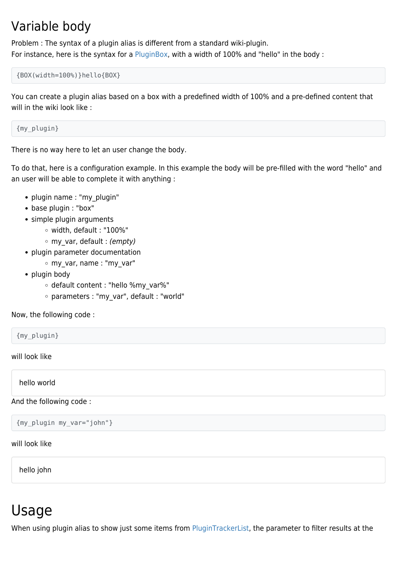### Variable body

Problem : The syntax of a plugin alias is different from a standard wiki-plugin. For instance, here is the syntax for a [PluginBox,](https://doc.tiki.org/PluginBox) with a width of 100% and "hello" in the body :

{BOX(width=100%)}hello{BOX}

You can create a plugin alias based on a box with a predefined width of 100% and a pre-defined content that will in the wiki look like :

{my\_plugin}

There is no way here to let an user change the body.

To do that, here is a configuration example. In this example the body will be pre-filled with the word "hello" and an user will be able to complete it with anything :

- plugin name : "my\_plugin"
- base plugin : "box"
- simple plugin arguments
	- width, default : "100%"
	- o my var, default : (empty)
- plugin parameter documentation
	- my\_var, name : "my\_var"
- plugin body
	- o default content : "hello %my var%"
	- parameters : "my\_var", default : "world"

Now, the following code :

{my\_plugin}

will look like

hello world

And the following code :

{my\_plugin my\_var="john"}

will look like

hello john

## Usage

When using plugin alias to show just some items from [PluginTrackerList](https://doc.tiki.org/PluginTrackerList), the parameter to filter results at the